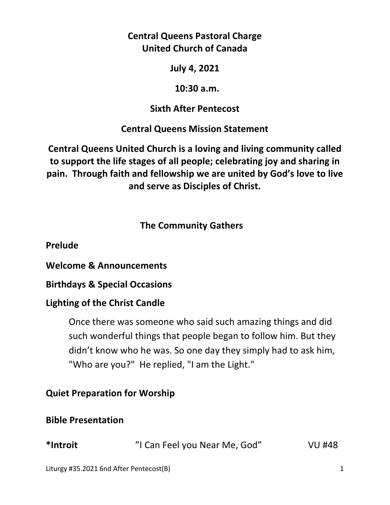# **Central Queens Pastoral Charge United Church of Canada**

#### **July 4, 2021**

#### **10:30 a.m.**

## **Sixth After Pentecost**

## **Central Queens Mission Statement**

**Central Queens United Church is a loving and living community called to support the life stages of all people; celebrating joy and sharing in pain. Through faith and fellowship we are united by God's love to live and serve as Disciples of Christ.**

## **The Community Gathers**

**Prelude** 

**Welcome & Announcements** 

**Birthdays & Special Occasions** 

### **Lighting of the Christ Candle**

Once there was someone who said such amazing things and did such wonderful things that people began to follow him. But they didn't know who he was. So one day they simply had to ask him, "Who are you?" He replied, "I am the Light."

## **Quiet Preparation for Worship**

## **Bible Presentation**

| *Introit | "I Can Feel you Near Me, God" | <b>VU #48</b> |
|----------|-------------------------------|---------------|
|----------|-------------------------------|---------------|

Liturgy #35.2021 6nd After Pentecost(B) 1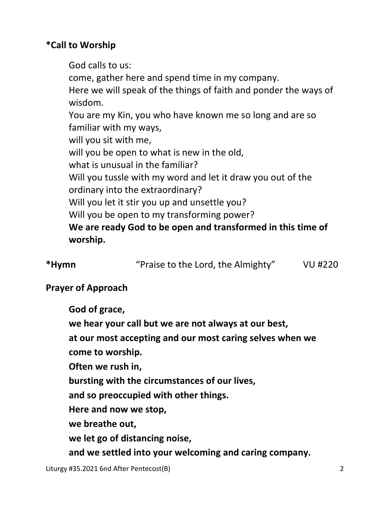# **\*Call to Worship**

God calls to us: come, gather here and spend time in my company. Here we will speak of the things of faith and ponder the ways of wisdom. You are my Kin, you who have known me so long and are so familiar with my ways, will you sit with me, will you be open to what is new in the old, what is unusual in the familiar? Will you tussle with my word and let it draw you out of the ordinary into the extraordinary? Will you let it stir you up and unsettle you? Will you be open to my transforming power? **We are ready God to be open and transformed in this time of worship.** 

**\*Hymn** "Praise to the Lord, the Almighty" VU #220

## **Prayer of Approach**

 **God of grace,** 

 **we hear your call but we are not always at our best,** 

 **at our most accepting and our most caring selves when we**

 **come to worship.** 

 **Often we rush in,** 

 **bursting with the circumstances of our lives,** 

 **and so preoccupied with other things.** 

 **Here and now we stop,** 

 **we breathe out,** 

 **we let go of distancing noise,** 

 **and we settled into your welcoming and caring company.**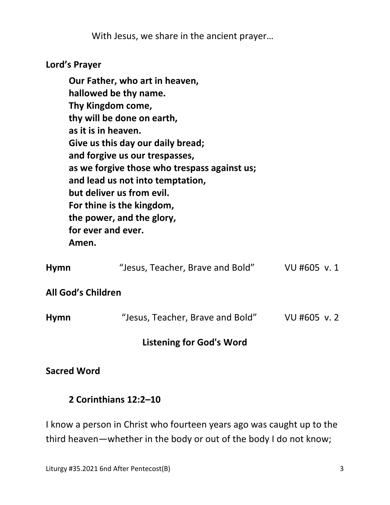With Jesus, we share in the ancient prayer…

# **Lord's Prayer**

|                           | Our Father, who art in heaven,                                                 |             |  |  |  |  |
|---------------------------|--------------------------------------------------------------------------------|-------------|--|--|--|--|
|                           | hallowed be thy name.                                                          |             |  |  |  |  |
|                           | Thy Kingdom come,                                                              |             |  |  |  |  |
|                           | thy will be done on earth,                                                     |             |  |  |  |  |
|                           | as it is in heaven.                                                            |             |  |  |  |  |
|                           | Give us this day our daily bread;                                              |             |  |  |  |  |
|                           | and forgive us our trespasses,<br>as we forgive those who trespass against us; |             |  |  |  |  |
|                           |                                                                                |             |  |  |  |  |
|                           | and lead us not into temptation,                                               |             |  |  |  |  |
|                           | but deliver us from evil.                                                      |             |  |  |  |  |
|                           | For thine is the kingdom,                                                      |             |  |  |  |  |
| the power, and the glory, |                                                                                |             |  |  |  |  |
|                           | for ever and ever.                                                             |             |  |  |  |  |
|                           | Amen.                                                                          |             |  |  |  |  |
| Hymn                      | "Jesus, Teacher, Brave and Bold"                                               | VU #605 v.1 |  |  |  |  |
|                           |                                                                                |             |  |  |  |  |
|                           |                                                                                |             |  |  |  |  |

## **All God's Children**

| <b>Hymn</b> | "Jesus, Teacher, Brave and Bold" | VU #605 v.2 |
|-------------|----------------------------------|-------------|
|             |                                  |             |

# **Listening for God's Word**

### **Sacred Word**

### **2 Corinthians 12:2–10**

I know a person in Christ who fourteen years ago was caught up to the third heaven—whether in the body or out of the body I do not know;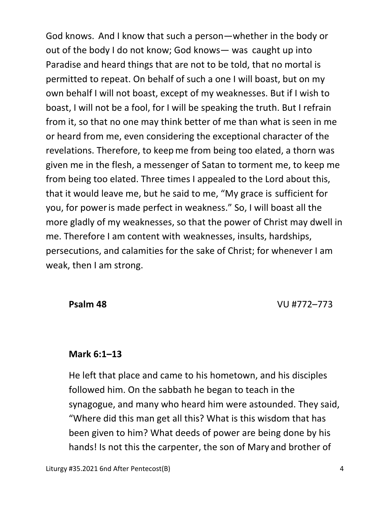God knows. And I know that such a person—whether in the body or out of the body I do not know; God knows— was caught up into Paradise and heard things that are not to be told, that no mortal is permitted to repeat. On behalf of such a one I will boast, but on my own behalf I will not boast, except of my weaknesses. But if I wish to boast, I will not be a fool, for I will be speaking the truth. But I refrain from it, so that no one may think better of me than what is seen in me or heard from me, even considering the exceptional character of the revelations. Therefore, to keep me from being too elated, a thorn was given me in the flesh, a messenger of Satan to torment me, to keep me from being too elated. Three times I appealed to the Lord about this, that it would leave me, but he said to me, "My grace is sufficient for you, for poweris made perfect in weakness." So, I will boast all the more gladly of my weaknesses, so that the power of Christ may dwell in me. Therefore I am content with weaknesses, insults, hardships, persecutions, and calamities for the sake of Christ; for whenever I am weak, then I am strong.

 **Psalm 48** VU #772–773

#### **Mark 6:1–13**

 He left that place and came to his hometown, and his disciples followed him. On the sabbath he began to teach in the synagogue, and many who heard him were astounded. They said, "Where did this man get all this? What is this wisdom that has been given to him? What deeds of power are being done by his hands! Is not this the carpenter, the son of Mary and brother of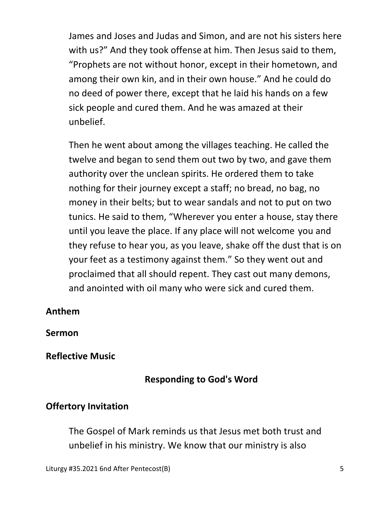James and Joses and Judas and Simon, and are not his sisters here with us?" And they took offense at him. Then Jesus said to them, "Prophets are not without honor, except in their hometown, and among their own kin, and in their own house." And he could do no deed of power there, except that he laid his hands on a few sick people and cured them. And he was amazed at their unbelief.

Then he went about among the villages teaching. He called the twelve and began to send them out two by two, and gave them authority over the unclean spirits. He ordered them to take nothing for their journey except a staff; no bread, no bag, no money in their belts; but to wear sandals and not to put on two tunics. He said to them, "Wherever you enter a house, stay there until you leave the place. If any place will not welcome you and they refuse to hear you, as you leave, shake off the dust that is on your feet as a testimony against them." So they went out and proclaimed that all should repent. They cast out many demons, and anointed with oil many who were sick and cured them.

### **Anthem**

**Sermon** 

#### **Reflective Music**

### **Responding to God's Word**

### **Offertory Invitation**

The Gospel of Mark reminds us that Jesus met both trust and unbelief in his ministry. We know that our ministry is also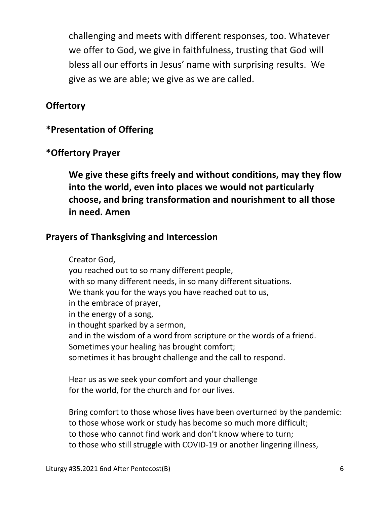challenging and meets with different responses, too. Whatever we offer to God, we give in faithfulness, trusting that God will bless all our efforts in Jesus' name with surprising results. We give as we are able; we give as we are called.

## **Offertory**

## **\*Presentation of Offering**

### **\*Offertory Prayer**

**We give these gifts freely and without conditions, may they flow into the world, even into places we would not particularly choose, and bring transformation and nourishment to all those in need. Amen** 

### **Prayers of Thanksgiving and Intercession**

Creator God, you reached out to so many different people, with so many different needs, in so many different situations. We thank you for the ways you have reached out to us, in the embrace of prayer, in the energy of a song, in thought sparked by a sermon, and in the wisdom of a word from scripture or the words of a friend. Sometimes your healing has brought comfort; sometimes it has brought challenge and the call to respond.

 Hear us as we seek your comfort and your challenge for the world, for the church and for our lives.

 Bring comfort to those whose lives have been overturned by the pandemic: to those whose work or study has become so much more difficult; to those who cannot find work and don't know where to turn; to those who still struggle with COVID-19 or another lingering illness,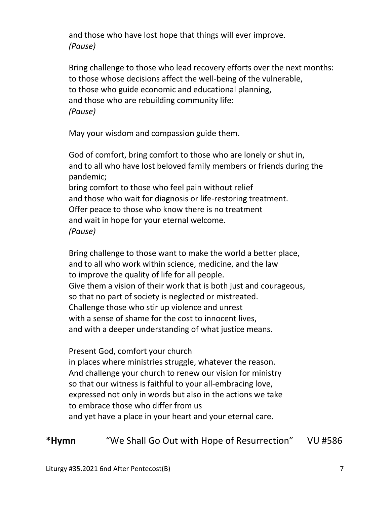and those who have lost hope that things will ever improve.  *(Pause)* 

 Bring challenge to those who lead recovery efforts over the next months: to those whose decisions affect the well-being of the vulnerable, to those who guide economic and educational planning, and those who are rebuilding community life:  *(Pause)* 

May your wisdom and compassion guide them.

 God of comfort, bring comfort to those who are lonely or shut in, and to all who have lost beloved family members or friends during the pandemic; bring comfort to those who feel pain without relief and those who wait for diagnosis or life-restoring treatment. Offer peace to those who know there is no treatment and wait in hope for your eternal welcome.  *(Pause)* 

 Bring challenge to those want to make the world a better place, and to all who work within science, medicine, and the law to improve the quality of life for all people. Give them a vision of their work that is both just and courageous, so that no part of society is neglected or mistreated. Challenge those who stir up violence and unrest with a sense of shame for the cost to innocent lives, and with a deeper understanding of what justice means.

 Present God, comfort your church in places where ministries struggle, whatever the reason. And challenge your church to renew our vision for ministry so that our witness is faithful to your all-embracing love, expressed not only in words but also in the actions we take to embrace those who differ from us and yet have a place in your heart and your eternal care.

**\*Hymn** "We Shall Go Out with Hope of Resurrection" VU #586